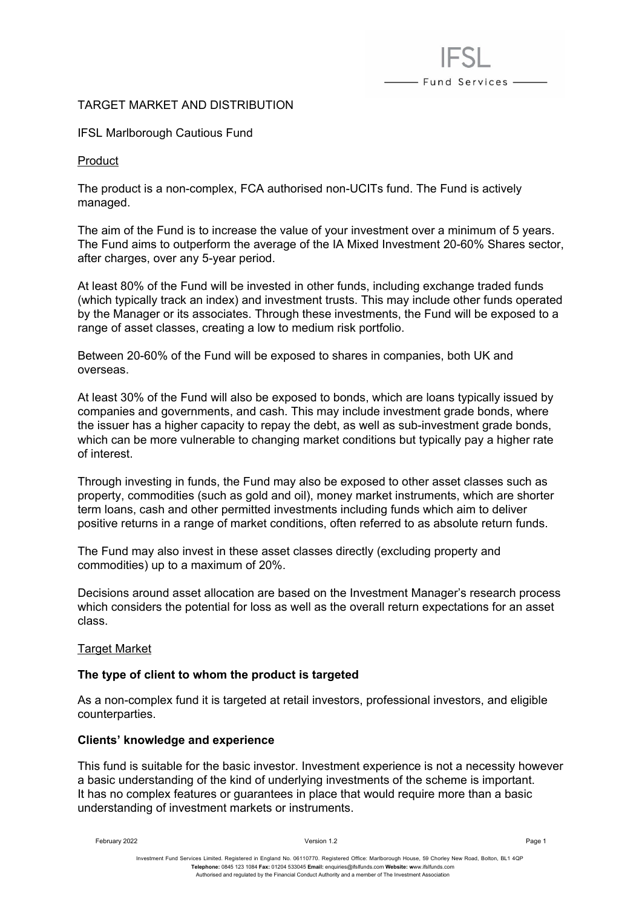# TARGET MARKET AND DISTRIBUTION

IFSL Marlborough Cautious Fund

Product

The product is a non-complex, FCA authorised non-UCITs fund. The Fund is actively managed.

The aim of the Fund is to increase the value of your investment over a minimum of 5 years. The Fund aims to outperform the average of the IA Mixed Investment 20-60% Shares sector, after charges, over any 5-year period.

- Fund Services —

At least 80% of the Fund will be invested in other funds, including exchange traded funds (which typically track an index) and investment trusts. This may include other funds operated by the Manager or its associates. Through these investments, the Fund will be exposed to a range of asset classes, creating a low to medium risk portfolio.

Between 20-60% of the Fund will be exposed to shares in companies, both UK and overseas.

At least 30% of the Fund will also be exposed to bonds, which are loans typically issued by companies and governments, and cash. This may include investment grade bonds, where the issuer has a higher capacity to repay the debt, as well as sub-investment grade bonds, which can be more vulnerable to changing market conditions but typically pay a higher rate of interest.

Through investing in funds, the Fund may also be exposed to other asset classes such as property, commodities (such as gold and oil), money market instruments, which are shorter term loans, cash and other permitted investments including funds which aim to deliver positive returns in a range of market conditions, often referred to as absolute return funds.

The Fund may also invest in these asset classes directly (excluding property and commodities) up to a maximum of 20%.

Decisions around asset allocation are based on the Investment Manager's research process which considers the potential for loss as well as the overall return expectations for an asset class.

### **Target Market**

### **The type of client to whom the product is targeted**

As a non-complex fund it is targeted at retail investors, professional investors, and eligible counterparties.

### **Clients' knowledge and experience**

This fund is suitable for the basic investor. Investment experience is not a necessity however a basic understanding of the kind of underlying investments of the scheme is important. It has no complex features or guarantees in place that would require more than a basic understanding of investment markets or instruments.

February 2022 Version 1.2 Page 1